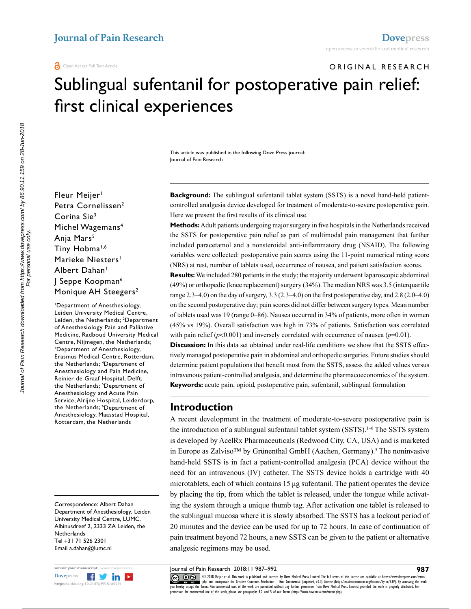# ORIGINAL RESEARCH Sublingual sufentanil for postoperative pain relief: first clinical experiences

This article was published in the following Dove Press journal: Journal of Pain Research

**Background:** The sublingual sufentanil tablet system (SSTS) is a novel hand-held patientcontrolled analgesia device developed for treatment of moderate-to-severe postoperative pain. Here we present the first results of its clinical use.

**Methods:** Adult patients undergoing major surgery in five hospitals in the Netherlands received the SSTS for postoperative pain relief as part of multimodal pain management that further included paracetamol and a nonsteroidal anti-inflammatory drug (NSAID). The following variables were collected: postoperative pain scores using the 11-point numerical rating score (NRS) at rest, number of tablets used, occurrence of nausea, and patient satisfaction scores.

**Results:** We included 280 patients in the study; the majority underwent laparoscopic abdominal (49%) or orthopedic (knee replacement) surgery (34%). The median NRS was 3.5 (interquartile range 2.3–4.0) on the day of surgery, 3.3 (2.3–4.0) on the first postoperative day, and 2.8 (2.0–4.0) on the second postoperative day; pain scores did not differ between surgery types. Mean number of tablets used was 19 (range 0–86). Nausea occurred in 34% of patients, more often in women (45% vs 19%). Overall satisfaction was high in 73% of patients. Satisfaction was correlated with pain relief ( $p<0.001$ ) and inversely correlated with occurrence of nausea ( $p=0.01$ ).

**Discussion:** In this data set obtained under real-life conditions we show that the SSTS effectively managed postoperative pain in abdominal and orthopedic surgeries. Future studies should determine patient populations that benefit most from the SSTS, assess the added values versus intravenous patient-controlled analgesia, and determine the pharmacoeconomics of the system. **Keywords:** acute pain, opioid, postoperative pain, sufentanil, sublingual formulation

## **Introduction**

A recent development in the treatment of moderate-to-severe postoperative pain is the introduction of a sublingual sufentanil tablet system  $(SSTS)$ .<sup>1–6</sup> The SSTS system is developed by AcelRx Pharmaceuticals (Redwood City, CA, USA) and is marketed in Europe as Zalviso™ by Grünenthal GmbH (Aachen, Germany).<sup>5</sup> The noninvasive hand-held SSTS is in fact a patient-controlled analgesia (PCA) device without the need for an intravenous (IV) catheter. The SSTS device holds a cartridge with 40 microtablets, each of which contains 15 μg sufentanil. The patient operates the device by placing the tip, from which the tablet is released, under the tongue while activating the system through a unique thumb tag. After activation one tablet is released to the sublingual mucosa where it is slowly absorbed. The SSTS has a lockout period of 20 minutes and the device can be used for up to 72 hours. In case of continuation of pain treatment beyond 72 hours, a new SSTS can be given to the patient or alternative analgesic regimens may be used.

CO 18 Meijer et al. This work is published and licensed by Dove Medical Press Limited. The full terms of this license are available at https://www.dovepress.com/terms.<br>Vou hereby accept the Terms. Non-commercial uses of th Journal of Pain Research 2018:11 987–992

permission for commercial use of this work, please see paragraphs 4.2 and 5 of our Terms (https://www.dovepress.com/terms.php).

Fleur Meijer<sup>1</sup> Petra Cornelissen<sup>2</sup> Corina Sie3 Michel Wagemans<sup>4</sup> Anja Mars<sup>5</sup> Tiny Hobma<sup>1,6</sup> Marieke Niesters<sup>1</sup> Albert Dahan<sup>1</sup> J Seppe Koopman6 Monique AH Steegers<sup>2</sup>

1 Department of Anesthesiology, Leiden University Medical Centre, Leiden, the Netherlands; <sup>2</sup>Department of Anesthesiology Pain and Palliative Medicine, Radboud University Medical Centre, Nijmegen, the Netherlands; 3 Department of Anesthesiology, Erasmus Medical Centre, Rotterdam, the Netherlands; 4 Department of Anesthesiology and Pain Medicine, Reinier de Graaf Hospital, Delft, the Netherlands; <sup>5</sup>Department of Anesthesiology and Acute Pain Service, Alrijne Hospital, Leiderdorp, the Netherlands; <sup>6</sup>Department of Anesthesiology, Maasstad Hospital, Rotterdam, the Netherlands

Correspondence: Albert Dahan Department of Anesthesiology, Leiden University Medical Centre, LUMC, Albinusdreef 2, 2333 ZA Leiden, the **Netherlands** Tel +31 71 526 2301 Email a.dahan@lumc.nl



**987**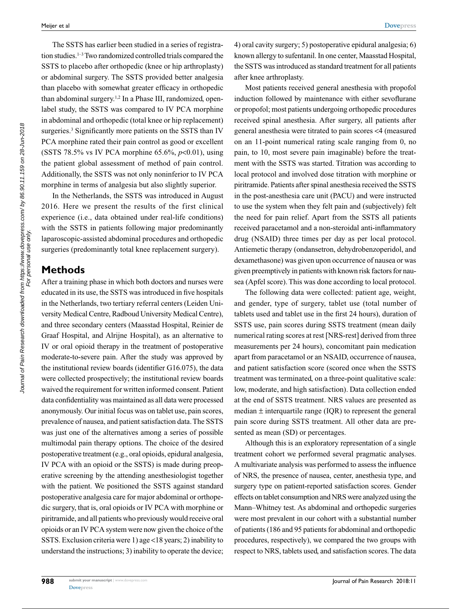The SSTS has earlier been studied in a series of registration studies.1–3 Two randomized controlled trials compared the SSTS to placebo after orthopedic (knee or hip arthroplasty) or abdominal surgery. The SSTS provided better analgesia than placebo with somewhat greater efficacy in orthopedic than abdominal surgery.1,2 In a Phase III, randomized, openlabel study, the SSTS was compared to IV PCA morphine in abdominal and orthopedic (total knee or hip replacement) surgeries.<sup>3</sup> Significantly more patients on the SSTS than IV PCA morphine rated their pain control as good or excellent (SSTS 78.5% vs IV PCA morphine 65.6%, *p*<0.01), using the patient global assessment of method of pain control. Additionally, the SSTS was not only noninferior to IV PCA morphine in terms of analgesia but also slightly superior.

In the Netherlands, the SSTS was introduced in August 2016. Here we present the results of the first clinical experience (i.e., data obtained under real-life conditions) with the SSTS in patients following major predominantly laparoscopic-assisted abdominal procedures and orthopedic surgeries (predominantly total knee replacement surgery).

#### **Methods**

Journal of Pain Research downloaded from https://www.dovepress.com/ by 86.90.11.159 on 28-Jun-2018<br>For personal use only. Journal of Pain Research downloaded from https://www.dovepress.com/ by 86.90.11.159 on 28-Jun-2018 For personal use only.

After a training phase in which both doctors and nurses were educated in its use, the SSTS was introduced in five hospitals in the Netherlands, two tertiary referral centers (Leiden University Medical Centre, Radboud University Medical Centre), and three secondary centers (Maasstad Hospital, Reinier de Graaf Hospital, and Alrijne Hospital), as an alternative to IV or oral opioid therapy in the treatment of postoperative moderate-to-severe pain. After the study was approved by the institutional review boards (identifier G16.075), the data were collected prospectively; the institutional review boards waived the requirement for written informed consent. Patient data confidentiality was maintained as all data were processed anonymously. Our initial focus was on tablet use, pain scores, prevalence of nausea, and patient satisfaction data. The SSTS was just one of the alternatives among a series of possible multimodal pain therapy options. The choice of the desired postoperative treatment (e.g., oral opioids, epidural analgesia, IV PCA with an opioid or the SSTS) is made during preoperative screening by the attending anesthesiologist together with the patient. We positioned the SSTS against standard postoperative analgesia care for major abdominal or orthopedic surgery, that is, oral opioids or IV PCA with morphine or piritramide, and all patients who previously would receive oral opioids or an IV PCA system were now given the choice of the SSTS. Exclusion criteria were 1) age <18 years; 2) inability to understand the instructions; 3) inability to operate the device; 4) oral cavity surgery; 5) postoperative epidural analgesia; 6) known allergy to sufentanil. In one center, Maasstad Hospital, the SSTS was introduced as standard treatment for all patients after knee arthroplasty.

Most patients received general anesthesia with propofol induction followed by maintenance with either sevoflurane or propofol; most patients undergoing orthopedic procedures received spinal anesthesia. After surgery, all patients after general anesthesia were titrated to pain scores <4 (measured on an 11-point numerical rating scale ranging from 0, no pain, to 10, most severe pain imaginable) before the treatment with the SSTS was started. Titration was according to local protocol and involved dose titration with morphine or piritramide. Patients after spinal anesthesia received the SSTS in the post-anesthesia care unit (PACU) and were instructed to use the system when they felt pain and (subjectively) felt the need for pain relief. Apart from the SSTS all patients received paracetamol and a non-steroidal anti-inflammatory drug (NSAID) three times per day as per local protocol. Antiemetic therapy (ondansetron, dehydrobenzoperidol, and dexamethasone) was given upon occurrence of nausea or was given preemptively in patients with known risk factors for nausea (Apfel score). This was done according to local protocol.

The following data were collected: patient age, weight, and gender, type of surgery, tablet use (total number of tablets used and tablet use in the first 24 hours), duration of SSTS use, pain scores during SSTS treatment (mean daily numerical rating scores at rest [NRS-rest] derived from three measurements per 24 hours), concomitant pain medication apart from paracetamol or an NSAID, occurrence of nausea, and patient satisfaction score (scored once when the SSTS treatment was terminated, on a three-point qualitative scale: low, moderate, and high satisfaction). Data collection ended at the end of SSTS treatment. NRS values are presented as median  $\pm$  interquartile range (IQR) to represent the general pain score during SSTS treatment. All other data are presented as mean (SD) or percentages.

Although this is an exploratory representation of a single treatment cohort we performed several pragmatic analyses. A multivariate analysis was performed to assess the influence of NRS, the presence of nausea, center, anesthesia type, and surgery type on patient-reported satisfaction scores. Gender effects on tablet consumption and NRS were analyzed using the Mann–Whitney test. As abdominal and orthopedic surgeries were most prevalent in our cohort with a substantial number of patients (186 and 95 patients for abdominal and orthopedic procedures, respectively), we compared the two groups with respect to NRS, tablets used, and satisfaction scores. The data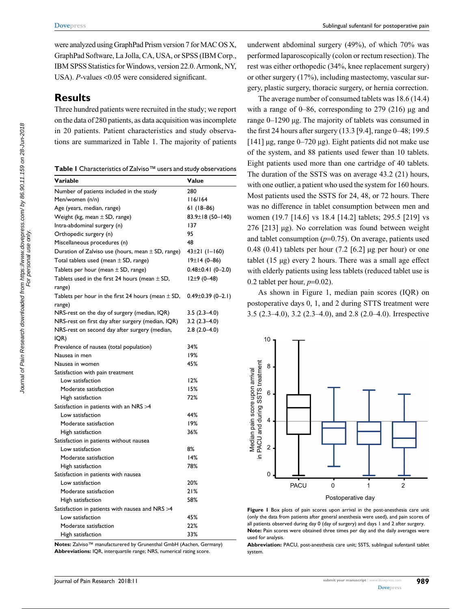were analyzed using GraphPad Prism version 7 for MAC OS X, GraphPad Software, La Jolla, CA, USA, or SPSS (IBM Corp., IBM SPSS Statistics for Windows, version 22.0. Armonk, NY, USA). *P*-values <0.05 were considered significant.

## **Results**

Three hundred patients were recruited in the study; we report on the data of 280 patients, as data acquisition was incomplete in 20 patients. Patient characteristics and study observations are summarized in Table 1. The majority of patients

**Table 1** Characteristics of Zalviso™ users and study observations

| Variable                                               | Value                   |
|--------------------------------------------------------|-------------------------|
| Number of patients included in the study               | 280                     |
| Men/women (n/n)                                        | 116/164                 |
| Age (years, median, range)                             | 61 (18–86)              |
| Weight (kg, mean $\pm$ SD, range)                      | 83.9±18 (50-140)        |
| Intra-abdominal surgery (n)                            | 137                     |
| Orthopedic surgery (n)                                 | 95                      |
| Miscellaneous procedures (n)                           | 48                      |
| Duration of Zalviso use (hours, mean $\pm$ SD, range)  | $43\pm21$ (1-160)       |
| Total tablets used (mean $\pm$ SD, range)              | $19±14(0-86)$           |
| Tablets per hour (mean $\pm$ SD, range)                | $0.48 \pm 0.41$ (0-2.0) |
| Tablets used in the first 24 hours (mean $\pm$ SD,     | $12±9(0-48)$            |
| range)                                                 |                         |
| Tablets per hour in the first 24 hours (mean $\pm$ SD, | $0.49 \pm 0.39$ (0-2.1) |
| range)                                                 |                         |
| NRS-rest on the day of surgery (median, IQR)           | $3.5(2.3-4.0)$          |
| NRS-rest on first day after surgery (median, IQR)      | $3.2(2.3-4.0)$          |
| NRS-rest on second day after surgery (median,          | $2.8(2.0-4.0)$          |
| IQR)                                                   |                         |
| Prevalence of nausea (total population)                | 34%                     |
| Nausea in men                                          | 19%                     |
| Nausea in women                                        | 45%                     |
| Satisfaction with pain treatment                       |                         |
| Low satisfaction                                       | 12%                     |
| Moderate satisfaction                                  | 15%                     |
| High satisfaction                                      | 72%                     |
| Satisfaction in patients with an NRS >4                |                         |
| Low satisfaction                                       | 44%                     |
| Moderate satisfaction                                  | 19%                     |
| High satisfaction                                      | 36%                     |
| Satisfaction in patients without nausea                |                         |
| Low satisfaction                                       | 8%                      |
| Moderate satisfaction                                  | 14%                     |
| High satisfaction                                      | 78%                     |
| Satisfaction in patients with nausea                   |                         |
| Low satisfaction                                       | 20%                     |
| Moderate satisfaction                                  | 21%                     |
| High satisfaction                                      | 58%                     |
| Satisfaction in patients with nausea and NRS >4        |                         |
| Low satisfaction                                       | 45%                     |
| Moderate satisfaction                                  | 22%                     |
| High satisfaction                                      | 33%                     |

**Notes:** Zalviso™ manufacturered by Grunenthal GmbH (Aachen, Germany) **Abbreviations:** IQR, interquartile range; NRS, numerical rating score.

underwent abdominal surgery (49%), of which 70% was performed laparoscopically (colon or rectum resection). The rest was either orthopedic (34%, knee replacement surgery) or other surgery (17%), including mastectomy, vascular surgery, plastic surgery, thoracic surgery, or hernia correction.

The average number of consumed tablets was 18.6 (14.4) with a range of 0–86, corresponding to 279 (216) μg and range 0–1290 μg. The majority of tablets was consumed in the first 24 hours after surgery (13.3 [9.4], range 0–48; 199.5 [141] μg, range 0–720 μg). Eight patients did not make use of the system, and 88 patients used fewer than 10 tablets. Eight patients used more than one cartridge of 40 tablets. The duration of the SSTS was on average 43.2 (21) hours, with one outlier, a patient who used the system for 160 hours. Most patients used the SSTS for 24, 48, or 72 hours. There was no difference in tablet consumption between men and women (19.7 [14.6] vs 18.4 [14.2] tablets; 295.5 [219] vs 276 [213] μg). No correlation was found between weight and tablet consumption (*p*=0.75). On average, patients used 0.48 (0.41) tablets per hour (7.2 [6.2] μg per hour) or one tablet (15 μg) every 2 hours. There was a small age effect with elderly patients using less tablets (reduced tablet use is 0.2 tablet per hour, *p*=0.02).

As shown in Figure 1, median pain scores (IQR) on postoperative days 0, 1, and 2 during STTS treatment were 3.5 (2.3–4.0), 3.2 (2.3–4.0), and 2.8 (2.0–4.0). Irrespective



**Figure 1** Box plots of pain scores upon arrival in the post-anesthesia care unit (only the data from patients after general anesthesia were used), and pain scores of all patients observed during day 0 (day of surgery) and days 1 and 2 after surgery. **Note:** Pain scores were obtained three times per day and the daily averages were used for analysis.

**Abbreviation:** PACU, post-anesthesia care unit; SSTS, sublingual sufentanil tablet system.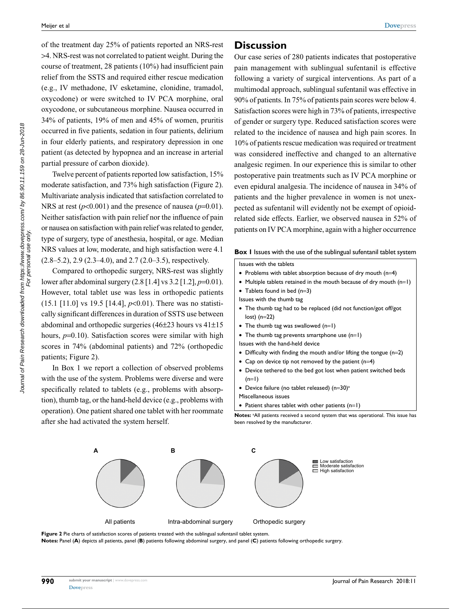Journal of Pain Research downloaded from https://www.dovepress.com/ by 86.90.11.159 on 28-Jun-2018<br>For personal use only. Journal of Pain Research downloaded from https://www.dovepress.com/ by 86.90.11.159 on 28-Jun-2018 For personal use only. of the treatment day 25% of patients reported an NRS-rest >4. NRS-rest was not correlated to patient weight. During the course of treatment, 28 patients (10%) had insufficient pain relief from the SSTS and required either rescue medication (e.g., IV methadone, IV esketamine, clonidine, tramadol, oxycodone) or were switched to IV PCA morphine, oral oxycodone, or subcutaneous morphine. Nausea occurred in 34% of patients, 19% of men and 45% of women, pruritis occurred in five patients, sedation in four patients, delirium in four elderly patients, and respiratory depression in one patient (as detected by hypopnea and an increase in arterial partial pressure of carbon dioxide).

Twelve percent of patients reported low satisfaction, 15% moderate satisfaction, and 73% high satisfaction (Figure 2). Multivariate analysis indicated that satisfaction correlated to NRS at rest  $(p<0.001)$  and the presence of nausea  $(p=0.01)$ . Neither satisfaction with pain relief nor the influence of pain or nausea on satisfaction with pain relief was related to gender, type of surgery, type of anesthesia, hospital, or age. Median NRS values at low, moderate, and high satisfaction were 4.1  $(2.8-5.2), 2.9 (2.3-4.0),$  and  $2.7 (2.0-3.5)$ , respectively.

Compared to orthopedic surgery, NRS-rest was slightly lower after abdominal surgery (2.8 [1.4] vs 3.2 [1.2], *p*=0.01). However, total tablet use was less in orthopedic patients (15.1 [11.0] vs 19.5 [14.4], *p*<0.01). There was no statistically significant differences in duration of SSTS use between abdominal and orthopedic surgeries (46±23 hours vs 41±15 hours, *p*=0.10). Satisfaction scores were similar with high scores in 74% (abdominal patients) and 72% (orthopedic patients; Figure 2).

In Box 1 we report a collection of observed problems with the use of the system. Problems were diverse and were specifically related to tablets (e.g., problems with absorption), thumb tag, or the hand-held device (e.g., problems with operation). One patient shared one tablet with her roommate after she had activated the system herself.

## **Discussion**

Our case series of 280 patients indicates that postoperative pain management with sublingual sufentanil is effective following a variety of surgical interventions. As part of a multimodal approach, sublingual sufentanil was effective in 90% of patients. In 75% of patients pain scores were below 4. Satisfaction scores were high in 73% of patients, irrespective of gender or surgery type. Reduced satisfaction scores were related to the incidence of nausea and high pain scores. In 10% of patients rescue medication was required or treatment was considered ineffective and changed to an alternative analgesic regimen. In our experience this is similar to other postoperative pain treatments such as IV PCA morphine or even epidural analgesia. The incidence of nausea in 34% of patients and the higher prevalence in women is not unexpected as sufentanil will evidently not be exempt of opioidrelated side effects. Earlier, we observed nausea in 52% of patients on IV PCA morphine, again with a higher occurrence

#### **Box I** Issues with the use of the sublingual sufentanil tablet system

|  | Issues with the tablets |
|--|-------------------------|
|  |                         |

- Problems with tablet absorption because of dry mouth (n=4)
- Multiple tablets retained in the mouth because of dry mouth (n=1)
- Tablets found in bed  $(n=3)$
- Issues with the thumb tag
- The thumb tag had to be replaced (did not function/got off/got lost) (n=22)
- The thumb tag was swallowed  $(n=1)$
- The thumb tag prevents smartphone use  $(n=1)$

Issues with the hand-held device

- Difficulty with finding the mouth and/or lifting the tongue (n=2)
- Cap on device tip not removed by the patient  $(n=4)$
- Device tethered to the bed got lost when patient switched beds  $(n=1)$
- Device failure (no tablet released) (n=30)<sup>a</sup>

Miscellaneous issues

• Patient shares tablet with other patients (n=1)

Notes: <sup>a</sup>All patients received a second system that was operational. This issue has been resolved by the manufacturer.



**Figure 2** Pie charts of satisfaction scores of patients treated with the sublingual sufentanil tablet system.

**Notes:** Panel (**A**) depicts all patients, panel (**B**) patients following abdominal surgery, and panel (**C**) patients following orthopedic surgery.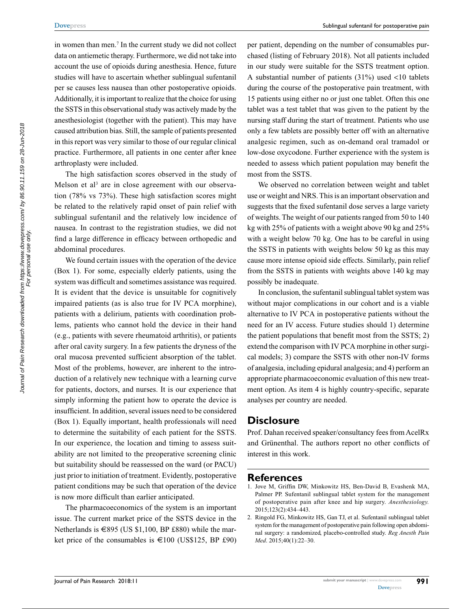in women than men.<sup>7</sup> In the current study we did not collect data on antiemetic therapy. Furthermore, we did not take into account the use of opioids during anesthesia. Hence, future studies will have to ascertain whether sublingual sufentanil per se causes less nausea than other postoperative opioids. Additionally, it is important to realize that the choice for using the SSTS in this observational study was actively made by the anesthesiologist (together with the patient). This may have caused attribution bias. Still, the sample of patients presented in this report was very similar to those of our regular clinical practice. Furthermore, all patients in one center after knee arthroplasty were included.

The high satisfaction scores observed in the study of Melson et al<sup>3</sup> are in close agreement with our observation (78% vs 73%). These high satisfaction scores might be related to the relatively rapid onset of pain relief with sublingual sufentanil and the relatively low incidence of nausea. In contrast to the registration studies, we did not find a large difference in efficacy between orthopedic and abdominal procedures.

We found certain issues with the operation of the device (Box 1). For some, especially elderly patients, using the system was difficult and sometimes assistance was required. It is evident that the device is unsuitable for cognitively impaired patients (as is also true for IV PCA morphine), patients with a delirium, patients with coordination problems, patients who cannot hold the device in their hand (e.g., patients with severe rheumatoid arthritis), or patients after oral cavity surgery. In a few patients the dryness of the oral mucosa prevented sufficient absorption of the tablet. Most of the problems, however, are inherent to the introduction of a relatively new technique with a learning curve for patients, doctors, and nurses. It is our experience that simply informing the patient how to operate the device is insufficient. In addition, several issues need to be considered (Box 1). Equally important, health professionals will need to determine the suitability of each patient for the SSTS. In our experience, the location and timing to assess suitability are not limited to the preoperative screening clinic but suitability should be reassessed on the ward (or PACU) just prior to initiation of treatment. Evidently, postoperative patient conditions may be such that operation of the device is now more difficult than earlier anticipated.

The pharmacoeconomics of the system is an important issue. The current market price of the SSTS device in the Netherlands is  $\epsilon$ 895 (US \$1,100, BP £880) while the market price of the consumables is  $\epsilon$ 100 (US\$125, BP £90) per patient, depending on the number of consumables purchased (listing of February 2018). Not all patients included in our study were suitable for the SSTS treatment option. A substantial number of patients (31%) used <10 tablets during the course of the postoperative pain treatment, with 15 patients using either no or just one tablet. Often this one tablet was a test tablet that was given to the patient by the nursing staff during the start of treatment. Patients who use only a few tablets are possibly better off with an alternative analgesic regimen, such as on-demand oral tramadol or low-dose oxycodone. Further experience with the system is needed to assess which patient population may benefit the most from the SSTS.

We observed no correlation between weight and tablet use or weight and NRS. This is an important observation and suggests that the fixed sufentanil dose serves a large variety of weights. The weight of our patients ranged from 50 to 140 kg with 25% of patients with a weight above 90 kg and 25% with a weight below 70 kg. One has to be careful in using the SSTS in patients with weights below 50 kg as this may cause more intense opioid side effects. Similarly, pain relief from the SSTS in patients with weights above 140 kg may possibly be inadequate.

In conclusion, the sufentanil sublingual tablet system was without major complications in our cohort and is a viable alternative to IV PCA in postoperative patients without the need for an IV access. Future studies should 1) determine the patient populations that benefit most from the SSTS; 2) extend the comparison with IV PCA morphine in other surgical models; 3) compare the SSTS with other non-IV forms of analgesia, including epidural analgesia; and 4) perform an appropriate pharmacoeconomic evaluation of this new treatment option. As item 4 is highly country-specific, separate analyses per country are needed.

#### **Disclosure**

Prof. Dahan received speaker/consultancy fees from AcelRx and Grünenthal. The authors report no other conflicts of interest in this work.

#### **References**

- 1. Jove M, Griffin DW, Minkowitz HS, Ben-David B, Evashenk MA, Palmer PP. Sufentanil sublingual tablet system for the management of postoperative pain after knee and hip surgery. *Anesthesiology.* 2015;123(2):434–443.
- 2. Ringold FG, Minkowitz HS, Gan TJ, et al. Sufentanil sublingual tablet system for the management of postoperative pain following open abdominal surgery: a randomized, placebo-controlled study. *Reg Anesth Pain Med*. 2015;40(1):22–30.